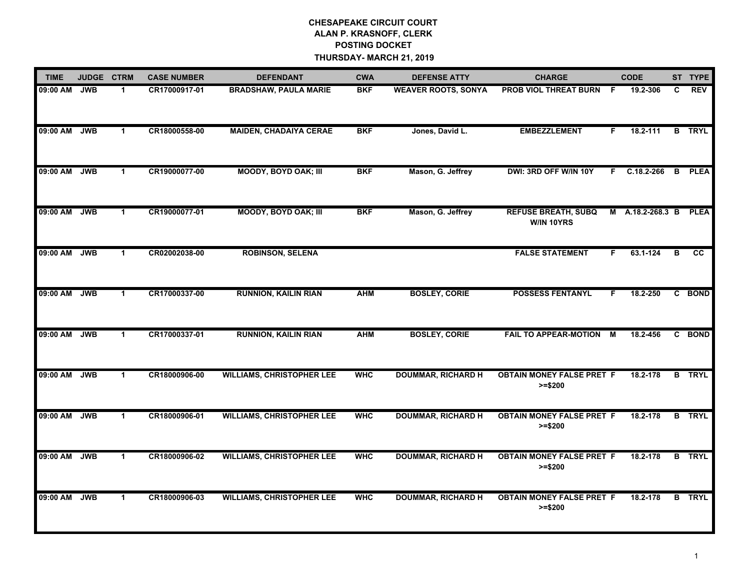| <b>TIME</b> |            | JUDGE CTRM   | <b>CASE NUMBER</b> | <b>DEFENDANT</b>                 | <b>CWA</b> | <b>DEFENSE ATTY</b>        | <b>CHARGE</b>                                 |     | <b>CODE</b>      |    | ST TYPE       |
|-------------|------------|--------------|--------------------|----------------------------------|------------|----------------------------|-----------------------------------------------|-----|------------------|----|---------------|
| 09:00 AM    | <b>JWB</b> | $\mathbf 1$  | CR17000917-01      | <b>BRADSHAW, PAULA MARIE</b>     | <b>BKF</b> | <b>WEAVER ROOTS, SONYA</b> | <b>PROB VIOL THREAT BURN</b>                  | - F | 19.2-306         | C. | REV           |
| 09:00 AM    | <b>JWB</b> | $\mathbf{1}$ | CR18000558-00      | <b>MAIDEN, CHADAIYA CERAE</b>    | <b>BKF</b> | Jones, David L.            | <b>EMBEZZLEMENT</b>                           | F.  | 18.2-111         |    | <b>B</b> TRYL |
| 09:00 AM    | <b>JWB</b> | $\mathbf{1}$ | CR19000077-00      | <b>MOODY, BOYD OAK; III</b>      | <b>BKF</b> | Mason, G. Jeffrey          | DWI: 3RD OFF W/IN 10Y                         | F.  | $C.18.2 - 266$   | B  | <b>PLEA</b>   |
| 09:00 AM    | <b>JWB</b> | $\mathbf 1$  | CR19000077-01      | <b>MOODY, BOYD OAK; III</b>      | <b>BKF</b> | Mason, G. Jeffrey          | <b>REFUSE BREATH, SUBQ</b><br>W/IN 10YRS      |     | M A.18.2-268.3 B |    | <b>PLEA</b>   |
| 09:00 AM    | <b>JWB</b> | $\mathbf 1$  | CR02002038-00      | <b>ROBINSON, SELENA</b>          |            |                            | <b>FALSE STATEMENT</b>                        | F.  | 63.1-124         | в  | <b>CC</b>     |
| 09:00 AM    | <b>JWB</b> | $\mathbf{1}$ | CR17000337-00      | <b>RUNNION, KAILIN RIAN</b>      | <b>AHM</b> | <b>BOSLEY, CORIE</b>       | <b>POSSESS FENTANYL</b>                       | F.  | 18.2-250         |    | C BOND        |
| 09:00 AM    | <b>JWB</b> | $\mathbf{1}$ | CR17000337-01      | <b>RUNNION, KAILIN RIAN</b>      | <b>AHM</b> | <b>BOSLEY, CORIE</b>       | FAIL TO APPEAR-MOTION M                       |     | 18.2-456         |    | C BOND        |
| 09:00 AM    | <b>JWB</b> | $\mathbf 1$  | CR18000906-00      | <b>WILLIAMS, CHRISTOPHER LEE</b> | <b>WHC</b> | <b>DOUMMAR, RICHARD H</b>  | <b>OBTAIN MONEY FALSE PRET F</b><br>$>= $200$ |     | 18.2-178         |    | <b>B</b> TRYL |
| 09:00 AM    | <b>JWB</b> | $\mathbf{1}$ | CR18000906-01      | <b>WILLIAMS, CHRISTOPHER LEE</b> | <b>WHC</b> | <b>DOUMMAR, RICHARD H</b>  | <b>OBTAIN MONEY FALSE PRET F</b><br>$>= $200$ |     | 18.2-178         |    | <b>B</b> TRYL |
| 09:00 AM    | <b>JWB</b> | 1.           | CR18000906-02      | <b>WILLIAMS, CHRISTOPHER LEE</b> | <b>WHC</b> | <b>DOUMMAR, RICHARD H</b>  | <b>OBTAIN MONEY FALSE PRET F</b><br>$>= $200$ |     | 18.2-178         |    | <b>B</b> TRYL |
| 09:00 AM    | <b>JWB</b> | $\mathbf 1$  | CR18000906-03      | <b>WILLIAMS, CHRISTOPHER LEE</b> | <b>WHC</b> | <b>DOUMMAR, RICHARD H</b>  | <b>OBTAIN MONEY FALSE PRET F</b><br>$>= $200$ |     | 18.2-178         |    | <b>B</b> TRYL |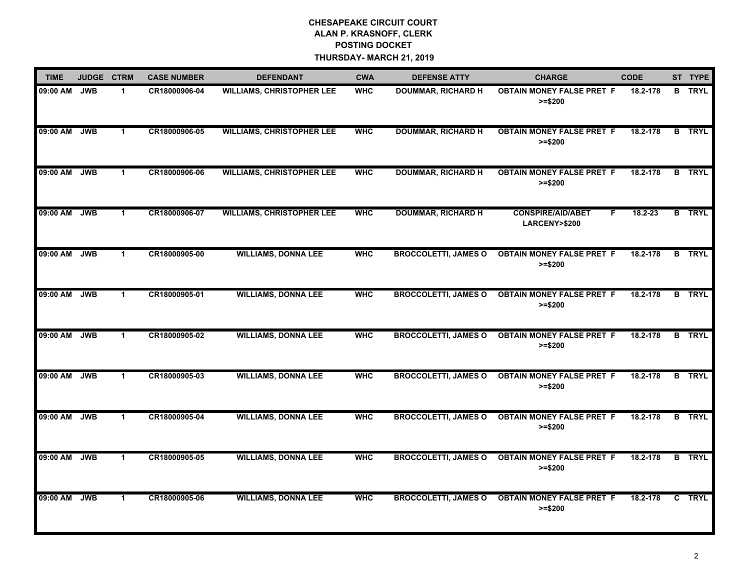| <b>TIME</b>  | JUDGE CTRM |              | <b>CASE NUMBER</b> | <b>DEFENDANT</b>                 | <b>CWA</b> | <b>DEFENSE ATTY</b>         | <b>CHARGE</b>                                  | <b>CODE</b> | ST TYPE       |
|--------------|------------|--------------|--------------------|----------------------------------|------------|-----------------------------|------------------------------------------------|-------------|---------------|
| 09:00 AM     | <b>JWB</b> | 1            | CR18000906-04      | <b>WILLIAMS, CHRISTOPHER LEE</b> | <b>WHC</b> | <b>DOUMMAR, RICHARD H</b>   | <b>OBTAIN MONEY FALSE PRET F</b><br>$>= $200$  | 18.2-178    | <b>B</b> TRYL |
| 09:00 AM JWB |            | 1            | CR18000906-05      | <b>WILLIAMS, CHRISTOPHER LEE</b> | <b>WHC</b> | <b>DOUMMAR, RICHARD H</b>   | <b>OBTAIN MONEY FALSE PRET F</b><br>$>= $200$  | 18.2-178    | <b>B</b> TRYL |
| 09:00 AM     | <b>JWB</b> | 1            | CR18000906-06      | <b>WILLIAMS, CHRISTOPHER LEE</b> | <b>WHC</b> | <b>DOUMMAR, RICHARD H</b>   | <b>OBTAIN MONEY FALSE PRET F</b><br>$>= $200$  | 18.2-178    | <b>B</b> TRYL |
| 09:00 AM     | <b>JWB</b> | 1            | CR18000906-07      | <b>WILLIAMS, CHRISTOPHER LEE</b> | <b>WHC</b> | <b>DOUMMAR, RICHARD H</b>   | <b>CONSPIRE/AID/ABET</b><br>F<br>LARCENY>\$200 | 18.2-23     | <b>B</b> TRYL |
| 09:00 AM     | <b>JWB</b> | 1            | CR18000905-00      | <b>WILLIAMS, DONNA LEE</b>       | <b>WHC</b> | <b>BROCCOLETTI, JAMES O</b> | <b>OBTAIN MONEY FALSE PRET F</b><br>$>= $200$  | 18.2-178    | <b>B</b> TRYL |
| 09:00 AM     | <b>JWB</b> | 1            | CR18000905-01      | <b>WILLIAMS, DONNA LEE</b>       | <b>WHC</b> | <b>BROCCOLETTI, JAMES O</b> | <b>OBTAIN MONEY FALSE PRET F</b><br>$>= $200$  | 18.2-178    | <b>B</b> TRYL |
| 09:00 AM     | <b>JWB</b> | 1            | CR18000905-02      | <b>WILLIAMS, DONNA LEE</b>       | <b>WHC</b> | <b>BROCCOLETTI, JAMES O</b> | <b>OBTAIN MONEY FALSE PRET F</b><br>$>= $200$  | 18.2-178    | <b>B</b> TRYL |
| 09:00 AM JWB |            | $\mathbf 1$  | CR18000905-03      | <b>WILLIAMS, DONNA LEE</b>       | <b>WHC</b> | <b>BROCCOLETTI, JAMES O</b> | <b>OBTAIN MONEY FALSE PRET F</b><br>$>= $200$  | 18.2-178    | <b>B</b> TRYL |
| 09:00 AM JWB |            | $\mathbf{1}$ | CR18000905-04      | <b>WILLIAMS, DONNA LEE</b>       | <b>WHC</b> | <b>BROCCOLETTI, JAMES O</b> | <b>OBTAIN MONEY FALSE PRET F</b><br>$>= $200$  | 18.2-178    | <b>B</b> TRYL |
| 09:00 AM     | <b>JWB</b> | 1            | CR18000905-05      | <b>WILLIAMS, DONNA LEE</b>       | <b>WHC</b> | <b>BROCCOLETTI, JAMES O</b> | <b>OBTAIN MONEY FALSE PRET F</b><br>$>= $200$  | 18.2-178    | <b>B</b> TRYL |
| 09:00 AM     | <b>JWB</b> | 1            | CR18000905-06      | <b>WILLIAMS, DONNA LEE</b>       | <b>WHC</b> | <b>BROCCOLETTI, JAMES O</b> | <b>OBTAIN MONEY FALSE PRET F</b><br>$>= $200$  | 18.2-178    | C TRYL        |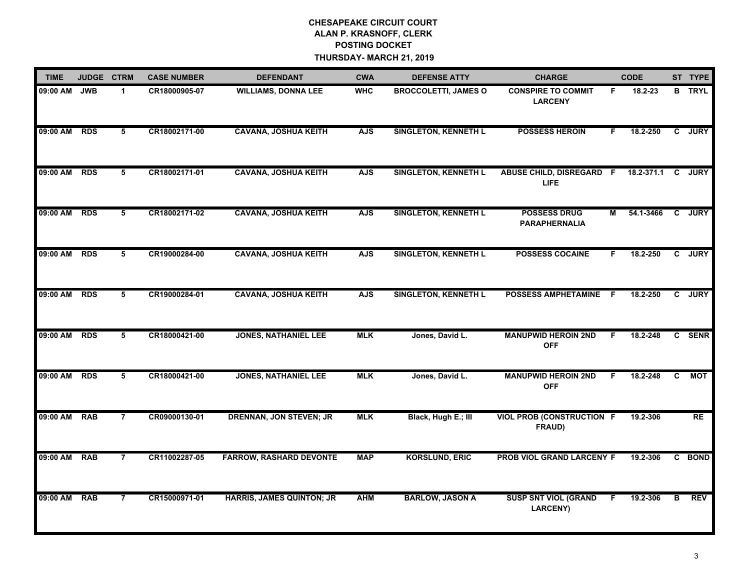| <b>TIME</b> | JUDGE CTRM |                | <b>CASE NUMBER</b> | <b>DEFENDANT</b>                 | <b>CWA</b> | <b>DEFENSE ATTY</b>         | <b>CHARGE</b>                               |    | <b>CODE</b> |    | ST TYPE       |
|-------------|------------|----------------|--------------------|----------------------------------|------------|-----------------------------|---------------------------------------------|----|-------------|----|---------------|
| 09:00 AM    | <b>JWB</b> | $\mathbf{1}$   | CR18000905-07      | <b>WILLIAMS, DONNA LEE</b>       | <b>WHC</b> | <b>BROCCOLETTI, JAMES O</b> | <b>CONSPIRE TO COMMIT</b><br><b>LARCENY</b> | F. | 18.2-23     |    | <b>B</b> TRYL |
| 09:00 AM    | <b>RDS</b> | 5              | CR18002171-00      | <b>CAVANA, JOSHUA KEITH</b>      | <b>AJS</b> | <b>SINGLETON, KENNETH L</b> | <b>POSSESS HEROIN</b>                       | F. | 18.2-250    |    | C JURY        |
| 09:00 AM    | <b>RDS</b> | $\overline{5}$ | CR18002171-01      | <b>CAVANA, JOSHUA KEITH</b>      | <b>AJS</b> | <b>SINGLETON, KENNETH L</b> | ABUSE CHILD, DISREGARD F<br><b>LIFE</b>     |    | 18.2-371.1  | C  | <b>JURY</b>   |
| 09:00 AM    | <b>RDS</b> | 5              | CR18002171-02      | <b>CAVANA, JOSHUA KEITH</b>      | <b>AJS</b> | <b>SINGLETON, KENNETH L</b> | <b>POSSESS DRUG</b><br><b>PARAPHERNALIA</b> | М  | 54.1-3466   |    | C JURY        |
| 09:00 AM    | <b>RDS</b> | 5              | CR19000284-00      | <b>CAVANA, JOSHUA KEITH</b>      | <b>AJS</b> | <b>SINGLETON, KENNETH L</b> | <b>POSSESS COCAINE</b>                      | F  | 18.2-250    |    | C JURY        |
| 09:00 AM    | <b>RDS</b> | 5              | CR19000284-01      | <b>CAVANA, JOSHUA KEITH</b>      | <b>AJS</b> | <b>SINGLETON, KENNETH L</b> | POSSESS AMPHETAMINE F                       |    | 18.2-250    |    | C JURY        |
| 09:00 AM    | <b>RDS</b> | 5              | CR18000421-00      | <b>JONES, NATHANIEL LEE</b>      | <b>MLK</b> | Jones, David L.             | <b>MANUPWID HEROIN 2ND</b><br><b>OFF</b>    | F  | 18.2-248    |    | C SENR        |
| 09:00 AM    | <b>RDS</b> | 5              | CR18000421-00      | <b>JONES, NATHANIEL LEE</b>      | <b>MLK</b> | Jones, David L.             | <b>MANUPWID HEROIN 2ND</b><br><b>OFF</b>    | F. | 18.2-248    | C. | <b>MOT</b>    |
| 09:00 AM    | <b>RAB</b> | $\overline{7}$ | CR09000130-01      | <b>DRENNAN, JON STEVEN; JR</b>   | <b>MLK</b> | Black, Hugh E.; III         | <b>VIOL PROB (CONSTRUCTION F</b><br>FRAUD)  |    | 19.2-306    |    | <b>RE</b>     |
| 09:00 AM    | <b>RAB</b> | $\overline{7}$ | CR11002287-05      | <b>FARROW, RASHARD DEVONTE</b>   | <b>MAP</b> | <b>KORSLUND, ERIC</b>       | PROB VIOL GRAND LARCENY F                   |    | 19.2-306    |    | C BOND        |
| 09:00 AM    | <b>RAB</b> | $\overline{7}$ | CR15000971-01      | <b>HARRIS, JAMES QUINTON; JR</b> | <b>AHM</b> | <b>BARLOW, JASON A</b>      | <b>SUSP SNT VIOL (GRAND</b><br>LARCENY)     | F. | 19.2-306    | в  | <b>REV</b>    |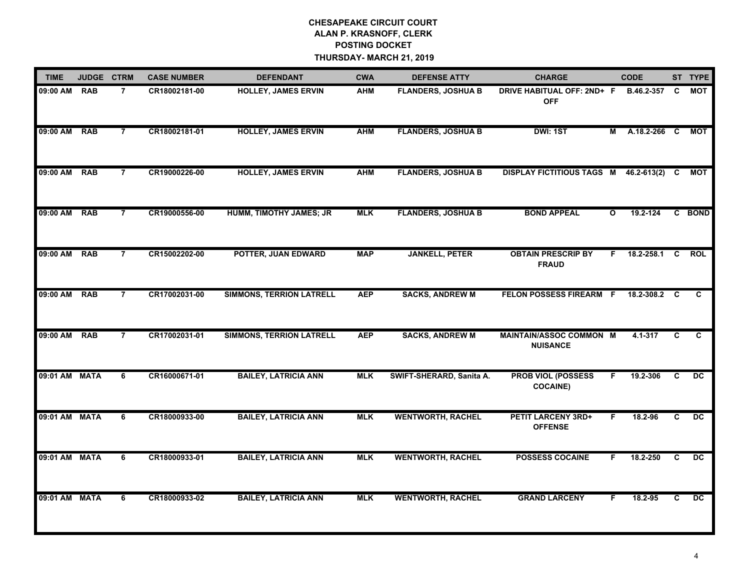| <b>TIME</b>   | JUDGE CTRM |                | <b>CASE NUMBER</b> | <b>DEFENDANT</b>                | <b>CWA</b> | <b>DEFENSE ATTY</b>       | <b>CHARGE</b>                                     |              | <b>CODE</b>     |          | ST TYPE         |
|---------------|------------|----------------|--------------------|---------------------------------|------------|---------------------------|---------------------------------------------------|--------------|-----------------|----------|-----------------|
| 09:00 AM      | <b>RAB</b> | $\overline{7}$ | CR18002181-00      | <b>HOLLEY, JAMES ERVIN</b>      | <b>AHM</b> | <b>FLANDERS, JOSHUA B</b> | DRIVE HABITUAL OFF: 2ND+ F<br><b>OFF</b>          |              | B.46.2-357      | C        | MOT             |
| 09:00 AM RAB  |            | $\overline{7}$ | CR18002181-01      | <b>HOLLEY, JAMES ERVIN</b>      | <b>AHM</b> | <b>FLANDERS, JOSHUA B</b> | <b>DWI: 1ST</b>                                   |              | M A.18.2-266 C  |          | MOT             |
| 09:00 AM      | <b>RAB</b> | $\overline{7}$ | CR19000226-00      | <b>HOLLEY, JAMES ERVIN</b>      | <b>AHM</b> | <b>FLANDERS, JOSHUA B</b> | <b>DISPLAY FICTITIOUS TAGS M</b>                  |              | $46.2 - 613(2)$ | C.       | <b>MOT</b>      |
| 09:00 AM RAB  |            | $\overline{7}$ | CR19000556-00      | HUMM, TIMOTHY JAMES; JR         | <b>MLK</b> | <b>FLANDERS, JOSHUA B</b> | <b>BOND APPEAL</b>                                | $\mathbf{o}$ | 19.2-124        |          | C BOND          |
| 09:00 AM      | RAB        | $\overline{7}$ | CR15002202-00      | POTTER, JUAN EDWARD             | <b>MAP</b> | <b>JANKELL, PETER</b>     | <b>OBTAIN PRESCRIP BY</b><br><b>FRAUD</b>         | F.           | 18.2-258.1      | <b>C</b> | <b>ROL</b>      |
| 09:00 AM      | <b>RAB</b> | $\overline{7}$ | CR17002031-00      | <b>SIMMONS, TERRION LATRELL</b> | <b>AEP</b> | <b>SACKS, ANDREW M</b>    | FELON POSSESS FIREARM F                           |              | 18.2-308.2 C    |          | C.              |
| 09:00 AM      | <b>RAB</b> | $\overline{7}$ | CR17002031-01      | <b>SIMMONS, TERRION LATRELL</b> | <b>AEP</b> | <b>SACKS, ANDREW M</b>    | <b>MAINTAIN/ASSOC COMMON M</b><br><b>NUISANCE</b> |              | $4.1 - 317$     | C        | C               |
| 09:01 AM MATA |            | 6              | CR16000671-01      | <b>BAILEY, LATRICIA ANN</b>     | <b>MLK</b> | SWIFT-SHERARD, Sanita A.  | <b>PROB VIOL (POSSESS</b><br><b>COCAINE)</b>      | F            | 19.2-306        | C        | DC              |
| 09:01 AM MATA |            | 6              | CR18000933-00      | <b>BAILEY, LATRICIA ANN</b>     | <b>MLK</b> | <b>WENTWORTH, RACHEL</b>  | <b>PETIT LARCENY 3RD+</b><br><b>OFFENSE</b>       | F            | 18.2-96         | C        | $\overline{DC}$ |
| 09:01 AM MATA |            | 6              | CR18000933-01      | <b>BAILEY, LATRICIA ANN</b>     | <b>MLK</b> | <b>WENTWORTH, RACHEL</b>  | <b>POSSESS COCAINE</b>                            | F            | 18.2-250        | C        | DC              |
| 09:01 AM MATA |            | 6              | CR18000933-02      | <b>BAILEY, LATRICIA ANN</b>     | <b>MLK</b> | <b>WENTWORTH, RACHEL</b>  | <b>GRAND LARCENY</b>                              | F            | 18.2-95         | C.       | $\overline{DC}$ |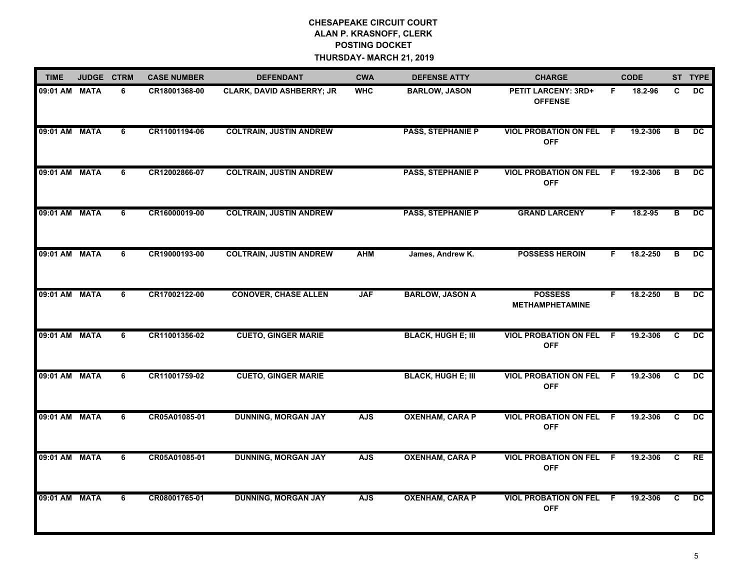| <b>TIME</b>   | JUDGE CTRM |   | <b>CASE NUMBER</b> | <b>DEFENDANT</b>               | <b>CWA</b> | <b>DEFENSE ATTY</b>       | <b>CHARGE</b>                                |     | <b>CODE</b> |    | ST TYPE         |
|---------------|------------|---|--------------------|--------------------------------|------------|---------------------------|----------------------------------------------|-----|-------------|----|-----------------|
| 09:01 AM MATA |            | 6 | CR18001368-00      | CLARK, DAVID ASHBERRY; JR      | <b>WHC</b> | <b>BARLOW, JASON</b>      | <b>PETIT LARCENY: 3RD+</b><br><b>OFFENSE</b> | F.  | 18.2-96     | C  | <b>DC</b>       |
| 09:01 AM MATA |            | 6 | CR11001194-06      | <b>COLTRAIN, JUSTIN ANDREW</b> |            | <b>PASS, STEPHANIE P</b>  | <b>VIOL PROBATION ON FEL F</b><br><b>OFF</b> |     | 19.2-306    | в  | DC              |
| 09:01 AM MATA |            | 6 | CR12002866-07      | <b>COLTRAIN, JUSTIN ANDREW</b> |            | <b>PASS, STEPHANIE P</b>  | <b>VIOL PROBATION ON FEL</b><br><b>OFF</b>   | - F | 19.2-306    | в  | DC.             |
| 09:01 AM MATA |            | 6 | CR16000019-00      | <b>COLTRAIN, JUSTIN ANDREW</b> |            | <b>PASS, STEPHANIE P</b>  | <b>GRAND LARCENY</b>                         | F   | 18.2-95     | в  | <b>DC</b>       |
| 09:01 AM MATA |            | 6 | CR19000193-00      | <b>COLTRAIN, JUSTIN ANDREW</b> | <b>AHM</b> | James, Andrew K.          | <b>POSSESS HEROIN</b>                        | F   | 18.2-250    | в  | DC              |
| 09:01 AM MATA |            | 6 | CR17002122-00      | <b>CONOVER, CHASE ALLEN</b>    | <b>JAF</b> | <b>BARLOW, JASON A</b>    | <b>POSSESS</b><br><b>METHAMPHETAMINE</b>     | F   | 18.2-250    | в  | $\overline{DC}$ |
| 09:01 AM MATA |            | 6 | CR11001356-02      | <b>CUETO, GINGER MARIE</b>     |            | <b>BLACK, HUGH E; III</b> | <b>VIOL PROBATION ON FEL</b><br><b>OFF</b>   | F.  | 19.2-306    | C. | DC.             |
| 09:01 AM MATA |            | 6 | CR11001759-02      | <b>CUETO, GINGER MARIE</b>     |            | <b>BLACK, HUGH E; III</b> | <b>VIOL PROBATION ON FEL</b><br><b>OFF</b>   | -F  | 19.2-306    | C  | <b>DC</b>       |
| 09:01 AM MATA |            | 6 | CR05A01085-01      | <b>DUNNING, MORGAN JAY</b>     | <b>AJS</b> | <b>OXENHAM, CARA P</b>    | <b>VIOL PROBATION ON FEL F</b><br><b>OFF</b> |     | 19.2-306    | C  | $\overline{DC}$ |
| 09:01 AM MATA |            | 6 | CR05A01085-01      | <b>DUNNING, MORGAN JAY</b>     | <b>AJS</b> | <b>OXENHAM, CARA P</b>    | <b>VIOL PROBATION ON FEL F</b><br><b>OFF</b> |     | 19.2-306    | C  | RE              |
| 09:01 AM MATA |            | 6 | CR08001765-01      | <b>DUNNING, MORGAN JAY</b>     | <b>AJS</b> | <b>OXENHAM, CARA P</b>    | <b>VIOL PROBATION ON FEL F</b><br><b>OFF</b> |     | 19.2-306    | C  | DC.             |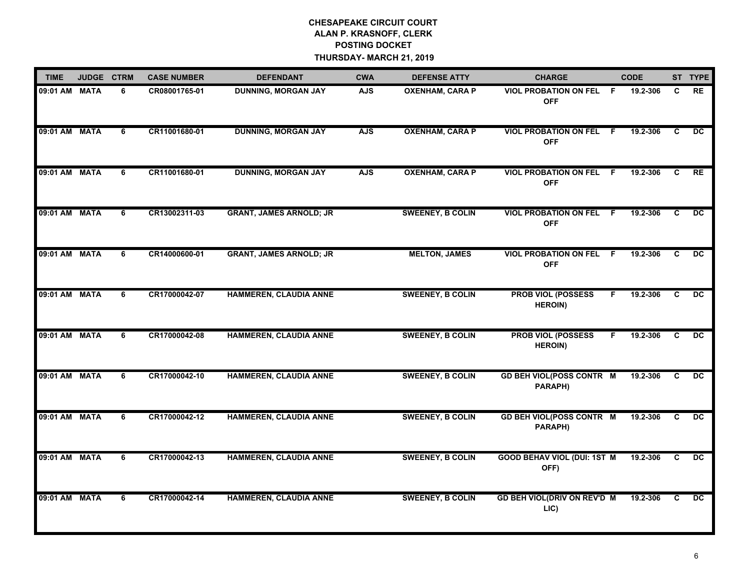| <b>TIME</b>   | JUDGE CTRM  |   | <b>CASE NUMBER</b> | <b>DEFENDANT</b>               | <b>CWA</b> | <b>DEFENSE ATTY</b>     | <b>CHARGE</b>                                |     | <b>CODE</b> |                | ST TYPE         |
|---------------|-------------|---|--------------------|--------------------------------|------------|-------------------------|----------------------------------------------|-----|-------------|----------------|-----------------|
| 09:01 AM MATA |             | 6 | CR08001765-01      | <b>DUNNING, MORGAN JAY</b>     | <b>AJS</b> | <b>OXENHAM, CARA P</b>  | <b>VIOL PROBATION ON FEL</b><br><b>OFF</b>   | - F | 19.2-306    | C              | <b>RE</b>       |
| 09:01 AM MATA |             | 6 | CR11001680-01      | <b>DUNNING, MORGAN JAY</b>     | <b>AJS</b> | <b>OXENHAM, CARA P</b>  | <b>VIOL PROBATION ON FEL F</b><br><b>OFF</b> |     | 19.2-306    | C              | <b>DC</b>       |
| 09:01 AM MATA |             | 6 | CR11001680-01      | <b>DUNNING, MORGAN JAY</b>     | <b>AJS</b> | <b>OXENHAM, CARA P</b>  | <b>VIOL PROBATION ON FEL F</b><br><b>OFF</b> |     | 19.2-306    | C              | <b>RE</b>       |
| 09:01 AM MATA |             | 6 | CR13002311-03      | <b>GRANT, JAMES ARNOLD; JR</b> |            | <b>SWEENEY, B COLIN</b> | <b>VIOL PROBATION ON FEL F</b><br><b>OFF</b> |     | 19.2-306    | C.             | <b>DC</b>       |
| 09:01 AM MATA |             | 6 | CR14000600-01      | <b>GRANT, JAMES ARNOLD; JR</b> |            | <b>MELTON, JAMES</b>    | <b>VIOL PROBATION ON FEL</b><br><b>OFF</b>   | -F. | 19.2-306    | C              | <b>DC</b>       |
| 09:01 AM MATA |             | 6 | CR17000042-07      | <b>HAMMEREN, CLAUDIA ANNE</b>  |            | <b>SWEENEY, B COLIN</b> | <b>PROB VIOL (POSSESS</b><br><b>HEROIN)</b>  | F   | 19.2-306    | $\overline{c}$ | $\overline{DC}$ |
| 09:01 AM MATA |             | 6 | CR17000042-08      | HAMMEREN, CLAUDIA ANNE         |            | <b>SWEENEY, B COLIN</b> | <b>PROB VIOL (POSSESS</b><br><b>HEROIN)</b>  | F.  | 19.2-306    | C              | DC              |
| 09:01 AM MATA |             | 6 | CR17000042-10      | HAMMEREN, CLAUDIA ANNE         |            | <b>SWEENEY, B COLIN</b> | <b>GD BEH VIOL(POSS CONTR M</b><br>PARAPH)   |     | 19.2-306    | C              | <b>DC</b>       |
| 09:01 AM MATA |             | 6 | CR17000042-12      | <b>HAMMEREN, CLAUDIA ANNE</b>  |            | <b>SWEENEY, B COLIN</b> | <b>GD BEH VIOL(POSS CONTR M</b><br>PARAPH)   |     | 19.2-306    | C.             | DC              |
| 09:01 AM MATA |             | 6 | CR17000042-13      | <b>HAMMEREN, CLAUDIA ANNE</b>  |            | <b>SWEENEY, B COLIN</b> | <b>GOOD BEHAV VIOL (DUI: 1ST M</b><br>OFF)   |     | 19.2-306    | C.             | DC              |
| 09:01 AM      | <b>MATA</b> | 6 | CR17000042-14      | <b>HAMMEREN, CLAUDIA ANNE</b>  |            | <b>SWEENEY, B COLIN</b> | <b>GD BEH VIOL(DRIV ON REV'D M</b><br>LIC)   |     | 19.2-306    | C              | $\overline{DC}$ |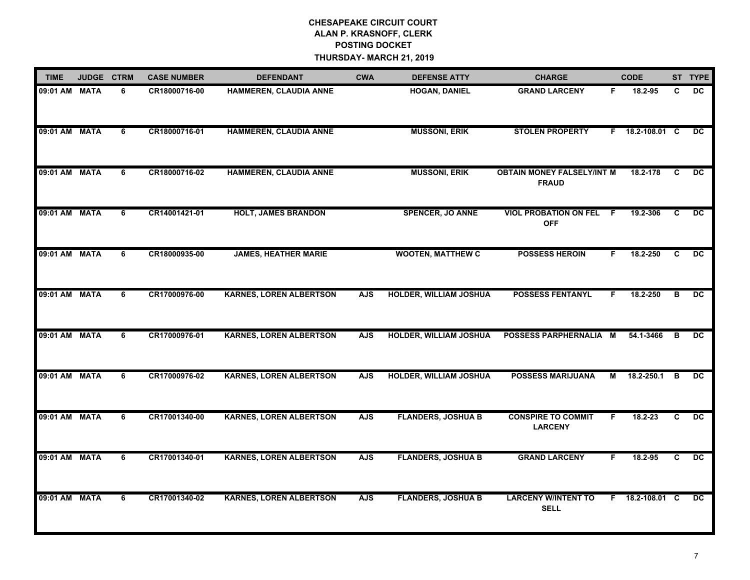| <b>TIME</b>   | JUDGE CTRM  |   | <b>CASE NUMBER</b> | <b>DEFENDANT</b>               | <b>CWA</b> | <b>DEFENSE ATTY</b>           | <b>CHARGE</b>                                     |    | <b>CODE</b>     |   | ST TYPE         |
|---------------|-------------|---|--------------------|--------------------------------|------------|-------------------------------|---------------------------------------------------|----|-----------------|---|-----------------|
| 09:01 AM      | <b>MATA</b> | 6 | CR18000716-00      | HAMMEREN, CLAUDIA ANNE         |            | <b>HOGAN, DANIEL</b>          | <b>GRAND LARCENY</b>                              | F. | 18.2-95         | C | <b>DC</b>       |
| 09:01 AM MATA |             | 6 | CR18000716-01      | <b>HAMMEREN, CLAUDIA ANNE</b>  |            | <b>MUSSONI, ERIK</b>          | <b>STOLEN PROPERTY</b>                            |    | F 18.2-108.01 C |   | <b>DC</b>       |
| 09:01 AM MATA |             | 6 | CR18000716-02      | <b>HAMMEREN, CLAUDIA ANNE</b>  |            | <b>MUSSONI, ERIK</b>          | <b>OBTAIN MONEY FALSELY/INT M</b><br><b>FRAUD</b> |    | 18.2-178        | C | DC.             |
| 09:01 AM MATA |             | 6 | CR14001421-01      | <b>HOLT, JAMES BRANDON</b>     |            | <b>SPENCER, JO ANNE</b>       | <b>VIOL PROBATION ON FEL F</b><br><b>OFF</b>      |    | 19.2-306        | C | <b>DC</b>       |
| 09:01 AM MATA |             | 6 | CR18000935-00      | <b>JAMES, HEATHER MARIE</b>    |            | <b>WOOTEN, MATTHEW C</b>      | <b>POSSESS HEROIN</b>                             | F  | 18.2-250        | C | <b>DC</b>       |
| 09:01 AM MATA |             | 6 | CR17000976-00      | <b>KARNES, LOREN ALBERTSON</b> | <b>AJS</b> | <b>HOLDER, WILLIAM JOSHUA</b> | <b>POSSESS FENTANYL</b>                           | F. | 18.2-250        | в | $\overline{DC}$ |
| 09:01 AM MATA |             | 6 | CR17000976-01      | <b>KARNES, LOREN ALBERTSON</b> | <b>AJS</b> | <b>HOLDER, WILLIAM JOSHUA</b> | POSSESS PARPHERNALIA M                            |    | 54.1-3466       | в | DC.             |
| 09:01 AM      | <b>MATA</b> | 6 | CR17000976-02      | <b>KARNES, LOREN ALBERTSON</b> | <b>AJS</b> | <b>HOLDER, WILLIAM JOSHUA</b> | <b>POSSESS MARIJUANA</b>                          | м  | 18.2-250.1      | B | <b>DC</b>       |
| 09:01 AM MATA |             | 6 | CR17001340-00      | <b>KARNES, LOREN ALBERTSON</b> | <b>AJS</b> | <b>FLANDERS, JOSHUA B</b>     | <b>CONSPIRE TO COMMIT</b><br><b>LARCENY</b>       | F  | $18.2 - 23$     | C | $\overline{DC}$ |
| 09:01 AM MATA |             | 6 | CR17001340-01      | <b>KARNES, LOREN ALBERTSON</b> | <b>AJS</b> | <b>FLANDERS, JOSHUA B</b>     | <b>GRAND LARCENY</b>                              | F. | 18.2-95         | C | <b>DC</b>       |
| 09:01 AM MATA |             | 6 | CR17001340-02      | <b>KARNES, LOREN ALBERTSON</b> | <b>AJS</b> | <b>FLANDERS, JOSHUA B</b>     | <b>LARCENY W/INTENT TO</b><br><b>SELL</b>         |    | F 18.2-108.01 C |   | DC              |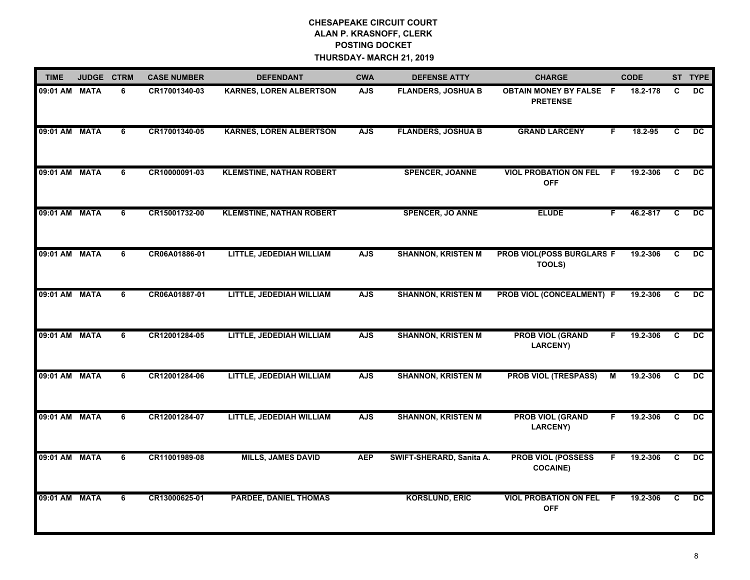| <b>TIME</b>   | JUDGE CTRM  |   | <b>CASE NUMBER</b> | <b>DEFENDANT</b>                | <b>CWA</b> | <b>DEFENSE ATTY</b>       | <b>CHARGE</b>                                     | <b>CODE</b>     |   |                | ST TYPE         |
|---------------|-------------|---|--------------------|---------------------------------|------------|---------------------------|---------------------------------------------------|-----------------|---|----------------|-----------------|
| 09:01 AM MATA |             | 6 | CR17001340-03      | <b>KARNES, LOREN ALBERTSON</b>  | <b>AJS</b> | <b>FLANDERS, JOSHUA B</b> | <b>OBTAIN MONEY BY FALSE F</b><br><b>PRETENSE</b> | 18.2-178        |   | C              | <b>DC</b>       |
| 09:01 AM MATA |             | 6 | CR17001340-05      | <b>KARNES, LOREN ALBERTSON</b>  | <b>AJS</b> | <b>FLANDERS, JOSHUA B</b> | <b>GRAND LARCENY</b>                              | 18.2-95<br>F    |   | C              | $\overline{DC}$ |
| 09:01 AM MATA |             | 6 | CR10000091-03      | <b>KLEMSTINE, NATHAN ROBERT</b> |            | <b>SPENCER, JOANNE</b>    | <b>VIOL PROBATION ON FEL</b><br><b>OFF</b>        | 19.2-306<br>- F | C |                | $\overline{p}$  |
| 09:01 AM MATA |             | 6 | CR15001732-00      | <b>KLEMSTINE, NATHAN ROBERT</b> |            | <b>SPENCER, JO ANNE</b>   | <b>ELUDE</b>                                      | 46.2-817<br>F   |   | C              | DC              |
| 09:01 AM MATA |             | 6 | CR06A01886-01      | LITTLE, JEDEDIAH WILLIAM        | <b>AJS</b> | <b>SHANNON, KRISTEN M</b> | PROB VIOL(POSS BURGLARS F<br>TOOLS)               | 19.2-306        |   | C              | DC              |
| 09:01 AM      | <b>MATA</b> | 6 | CR06A01887-01      | LITTLE, JEDEDIAH WILLIAM        | <b>AJS</b> | <b>SHANNON, KRISTEN M</b> | PROB VIOL (CONCEALMENT) F                         | 19.2-306        |   | $\overline{c}$ | $\overline{DC}$ |
| 09:01 AM MATA |             | 6 | CR12001284-05      | LITTLE, JEDEDIAH WILLIAM        | <b>AJS</b> | <b>SHANNON, KRISTEN M</b> | <b>PROB VIOL (GRAND</b><br><b>LARCENY)</b>        | 19.2-306<br>F.  |   | C              | $\overline{DC}$ |
| 09:01 AM MATA |             | 6 | CR12001284-06      | LITTLE, JEDEDIAH WILLIAM        | <b>AJS</b> | <b>SHANNON, KRISTEN M</b> | <b>PROB VIOL (TRESPASS)</b>                       | 19.2-306<br>м   |   | C              | DC              |
| 09:01 AM MATA |             | 6 | CR12001284-07      | LITTLE, JEDEDIAH WILLIAM        | <b>AJS</b> | <b>SHANNON, KRISTEN M</b> | <b>PROB VIOL (GRAND</b><br><b>LARCENY)</b>        | 19.2-306<br>F.  |   | C              | $\overline{DC}$ |
| 09:01 AM MATA |             | 6 | CR11001989-08      | <b>MILLS, JAMES DAVID</b>       | <b>AEP</b> | SWIFT-SHERARD, Sanita A.  | <b>PROB VIOL (POSSESS</b><br><b>COCAINE)</b>      | 19.2-306<br>F   |   | C              | DC              |
| 09:01 AM MATA |             | 6 | CR13000625-01      | <b>PARDEE, DANIEL THOMAS</b>    |            | <b>KORSLUND, ERIC</b>     | <b>VIOL PROBATION ON FEL</b><br><b>OFF</b>        | -F<br>19.2-306  |   | C              | DC              |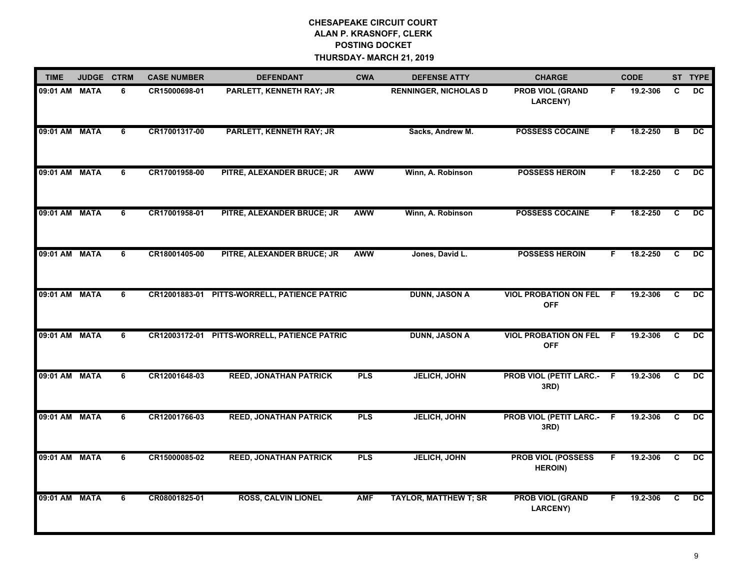| <b>TIME</b>   | JUDGE CTRM |   | <b>CASE NUMBER</b> | <b>DEFENDANT</b>                             | <b>CWA</b> | <b>DEFENSE ATTY</b>          | <b>CHARGE</b>                                |    | <b>CODE</b> |                | ST TYPE         |
|---------------|------------|---|--------------------|----------------------------------------------|------------|------------------------------|----------------------------------------------|----|-------------|----------------|-----------------|
| 09:01 AM MATA |            | 6 | CR15000698-01      | PARLETT, KENNETH RAY; JR                     |            | <b>RENNINGER, NICHOLAS D</b> | <b>PROB VIOL (GRAND</b><br><b>LARCENY)</b>   | F. | 19.2-306    | C              | <b>DC</b>       |
| 09:01 AM MATA |            | 6 | CR17001317-00      | PARLETT, KENNETH RAY; JR                     |            | Sacks, Andrew M.             | <b>POSSESS COCAINE</b>                       | F. | 18.2-250    | в              | <b>DC</b>       |
| 09:01 AM MATA |            | 6 | CR17001958-00      | PITRE, ALEXANDER BRUCE; JR                   | <b>AWW</b> | Winn, A. Robinson            | <b>POSSESS HEROIN</b>                        | F  | 18.2-250    | C              | $\overline{DC}$ |
| 09:01 AM MATA |            | 6 | CR17001958-01      | PITRE, ALEXANDER BRUCE; JR                   | <b>AWW</b> | Winn, A. Robinson            | <b>POSSESS COCAINE</b>                       | F. | 18.2-250    | C              | <b>DC</b>       |
| 09:01 AM MATA |            | 6 | CR18001405-00      | PITRE, ALEXANDER BRUCE; JR                   | AWW        | Jones, David L.              | <b>POSSESS HEROIN</b>                        | F  | 18.2-250    | C.             | $\overline{DC}$ |
| 09:01 AM MATA |            | 6 | CR12001883-01      | PITTS-WORRELL, PATIENCE PATRIC               |            | <b>DUNN, JASON A</b>         | <b>VIOL PROBATION ON FEL F</b><br><b>OFF</b> |    | 19.2-306    | $\overline{c}$ | $\overline{DC}$ |
| 09:01 AM MATA |            | 6 |                    | CR12003172-01 PITTS-WORRELL, PATIENCE PATRIC |            | <b>DUNN, JASON A</b>         | <b>VIOL PROBATION ON FEL F</b><br><b>OFF</b> |    | 19.2-306    | $\mathbf{C}$   | $\overline{DC}$ |
| 09:01 AM MATA |            | 6 | CR12001648-03      | <b>REED, JONATHAN PATRICK</b>                | <b>PLS</b> | <b>JELICH, JOHN</b>          | <b>PROB VIOL (PETIT LARC.-</b><br>3RD)       | F. | 19.2-306    | C              | <b>DC</b>       |
| 09:01 AM MATA |            | 6 | CR12001766-03      | <b>REED, JONATHAN PATRICK</b>                | <b>PLS</b> | <b>JELICH, JOHN</b>          | <b>PROB VIOL (PETIT LARC.-</b><br>3RD)       | F. | 19.2-306    | C              | DC.             |
| 09:01 AM MATA |            | 6 | CR15000085-02      | <b>REED, JONATHAN PATRICK</b>                | <b>PLS</b> | <b>JELICH, JOHN</b>          | <b>PROB VIOL (POSSESS</b><br><b>HEROIN)</b>  | F  | 19.2-306    | C              | $\overline{DC}$ |
| 09:01 AM MATA |            | 6 | CR08001825-01      | <b>ROSS, CALVIN LIONEL</b>                   | <b>AMF</b> | <b>TAYLOR, MATTHEW T; SR</b> | <b>PROB VIOL (GRAND</b><br>LARCENY)          | F. | 19.2-306    | C              | DC              |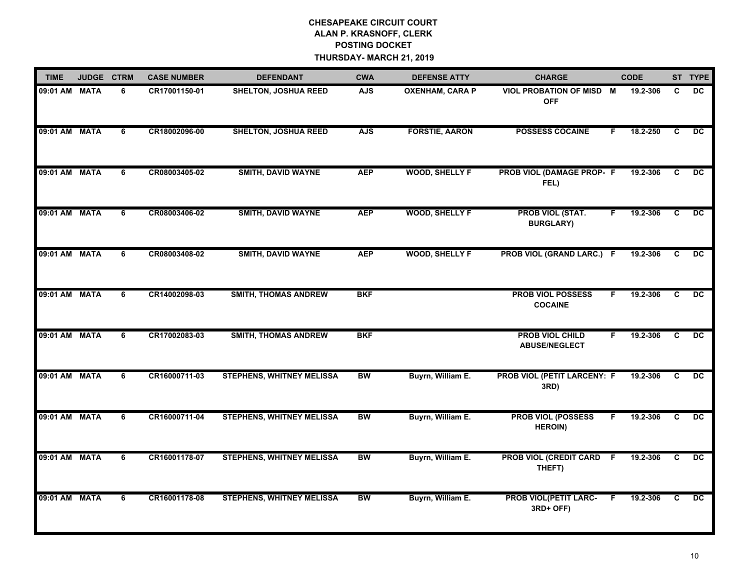| <b>TIME</b>   | JUDGE CTRM |   | <b>CASE NUMBER</b> | <b>DEFENDANT</b>                 | <b>CWA</b>      | <b>DEFENSE ATTY</b>    | <b>CHARGE</b>                                  | <b>CODE</b> |          |                | ST TYPE         |
|---------------|------------|---|--------------------|----------------------------------|-----------------|------------------------|------------------------------------------------|-------------|----------|----------------|-----------------|
| 09:01 AM MATA |            | 6 | CR17001150-01      | <b>SHELTON, JOSHUA REED</b>      | <b>AJS</b>      | <b>OXENHAM, CARA P</b> | VIOL PROBATION OF MISD M<br><b>OFF</b>         |             | 19.2-306 | C              | <b>DC</b>       |
| 09:01 AM MATA |            | 6 | CR18002096-00      | <b>SHELTON, JOSHUA REED</b>      | <b>AJS</b>      | <b>FORSTIE, AARON</b>  | <b>POSSESS COCAINE</b>                         | F           | 18.2-250 | C              | <b>DC</b>       |
| 09:01 AM MATA |            | 6 | CR08003405-02      | <b>SMITH, DAVID WAYNE</b>        | <b>AEP</b>      | <b>WOOD, SHELLY F</b>  | PROB VIOL (DAMAGE PROP- F<br>FEL)              |             | 19.2-306 | $\overline{c}$ | $\overline{p}$  |
| 09:01 AM MATA |            | 6 | CR08003406-02      | <b>SMITH, DAVID WAYNE</b>        | <b>AEP</b>      | <b>WOOD, SHELLY F</b>  | <b>PROB VIOL (STAT.</b><br><b>BURGLARY)</b>    | F           | 19.2-306 | C              | DC              |
| 09:01 AM MATA |            | 6 | CR08003408-02      | <b>SMITH, DAVID WAYNE</b>        | <b>AEP</b>      | <b>WOOD, SHELLY F</b>  | PROB VIOL (GRAND LARC.) F                      |             | 19.2-306 | C              | $\overline{DC}$ |
| 09:01 AM MATA |            | 6 | CR14002098-03      | <b>SMITH, THOMAS ANDREW</b>      | <b>BKF</b>      |                        | <b>PROB VIOL POSSESS</b><br><b>COCAINE</b>     | F           | 19.2-306 | $\overline{c}$ | DC              |
| 09:01 AM MATA |            | 6 | CR17002083-03      | <b>SMITH, THOMAS ANDREW</b>      | <b>BKF</b>      |                        | <b>PROB VIOL CHILD</b><br><b>ABUSE/NEGLECT</b> | F.          | 19.2-306 | C              | DC              |
| 09:01 AM MATA |            | 6 | CR16000711-03      | <b>STEPHENS, WHITNEY MELISSA</b> | <b>BW</b>       | Buyrn, William E.      | PROB VIOL (PETIT LARCENY: F<br>3RD)            |             | 19.2-306 | C              | <b>DC</b>       |
| 09:01 AM MATA |            | 6 | CR16000711-04      | <b>STEPHENS, WHITNEY MELISSA</b> | <b>BW</b>       | Buyrn, William E.      | <b>PROB VIOL (POSSESS</b><br><b>HEROIN)</b>    | F.          | 19.2-306 | C              | $\overline{DC}$ |
| 09:01 AM MATA |            | 6 | CR16001178-07      | <b>STEPHENS, WHITNEY MELISSA</b> | $\overline{BW}$ | Buyrn, William E.      | PROB VIOL (CREDIT CARD F<br>THEFT)             |             | 19.2-306 | C              | $\overline{DC}$ |
| 09:01 AM MATA |            | 6 | CR16001178-08      | <b>STEPHENS, WHITNEY MELISSA</b> | <b>BW</b>       | Buyrn, William E.      | <b>PROB VIOL(PETIT LARC-</b><br>3RD+ OFF)      | F           | 19.2-306 | C              | $\overline{DC}$ |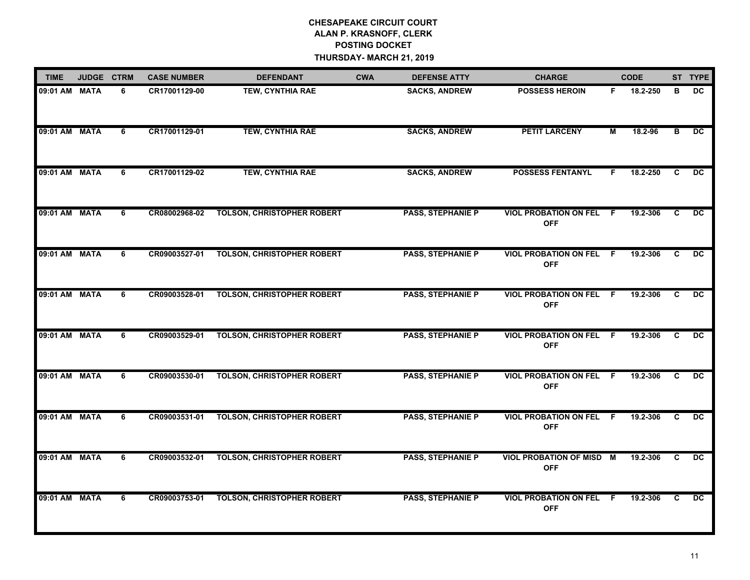| <b>TIME</b>   | JUDGE CTRM |   | <b>CASE NUMBER</b> | <b>DEFENDANT</b>                  | <b>CWA</b> | <b>DEFENSE ATTY</b>      | <b>CHARGE</b>                                 |     | <b>CODE</b> |    | ST TYPE         |
|---------------|------------|---|--------------------|-----------------------------------|------------|--------------------------|-----------------------------------------------|-----|-------------|----|-----------------|
| 09:01 AM MATA |            | 6 | CR17001129-00      | <b>TEW, CYNTHIA RAE</b>           |            | <b>SACKS, ANDREW</b>     | <b>POSSESS HEROIN</b>                         | F.  | 18.2-250    | в  | <b>DC</b>       |
| 09:01 AM MATA |            | 6 | CR17001129-01      | <b>TEW, CYNTHIA RAE</b>           |            | <b>SACKS, ANDREW</b>     | <b>PETIT LARCENY</b>                          | м   | 18.2-96     | в  | DC.             |
| 09:01 AM MATA |            | 6 | CR17001129-02      | <b>TEW, CYNTHIA RAE</b>           |            | <b>SACKS, ANDREW</b>     | <b>POSSESS FENTANYL</b>                       | F   | 18.2-250    | C  | $\overline{p}$  |
| 09:01 AM MATA |            | 6 | CR08002968-02      | <b>TOLSON, CHRISTOPHER ROBERT</b> |            | <b>PASS, STEPHANIE P</b> | <b>VIOL PROBATION ON FEL F</b><br><b>OFF</b>  |     | 19.2-306    | C. | DC              |
| 09:01 AM MATA |            | 6 | CR09003527-01      | <b>TOLSON, CHRISTOPHER ROBERT</b> |            | <b>PASS, STEPHANIE P</b> | <b>VIOL PROBATION ON FEL F</b><br><b>OFF</b>  |     | 19.2-306    | C  | DC.             |
| 09:01 AM MATA |            | 6 | CR09003528-01      | <b>TOLSON, CHRISTOPHER ROBERT</b> |            | <b>PASS, STEPHANIE P</b> | <b>VIOL PROBATION ON FEL</b><br><b>OFF</b>    | -F. | 19.2-306    | C  | $\overline{DC}$ |
| 09:01 AM MATA |            | 6 | CR09003529-01      | <b>TOLSON, CHRISTOPHER ROBERT</b> |            | <b>PASS, STEPHANIE P</b> | <b>VIOL PROBATION ON FEL F</b><br><b>OFF</b>  |     | 19.2-306    | C  | <b>DC</b>       |
| 09:01 AM MATA |            | 6 | CR09003530-01      | <b>TOLSON, CHRISTOPHER ROBERT</b> |            | <b>PASS, STEPHANIE P</b> | <b>VIOL PROBATION ON FEL F</b><br><b>OFF</b>  |     | 19.2-306    | C  | <b>DC</b>       |
| 09:01 AM MATA |            | 6 | CR09003531-01      | <b>TOLSON, CHRISTOPHER ROBERT</b> |            | <b>PASS, STEPHANIE P</b> | <b>VIOL PROBATION ON FEL F</b><br><b>OFF</b>  |     | 19.2-306    | C  | $\overline{DC}$ |
| 09:01 AM MATA |            | 6 | CR09003532-01      | <b>TOLSON, CHRISTOPHER ROBERT</b> |            | <b>PASS, STEPHANIE P</b> | <b>VIOL PROBATION OF MISD M</b><br><b>OFF</b> |     | 19.2-306    | C  | DC              |
| 09:01 AM MATA |            | 6 | CR09003753-01      | <b>TOLSON, CHRISTOPHER ROBERT</b> |            | <b>PASS, STEPHANIE P</b> | <b>VIOL PROBATION ON FEL F</b><br><b>OFF</b>  |     | 19.2-306    | C. | <b>DC</b>       |